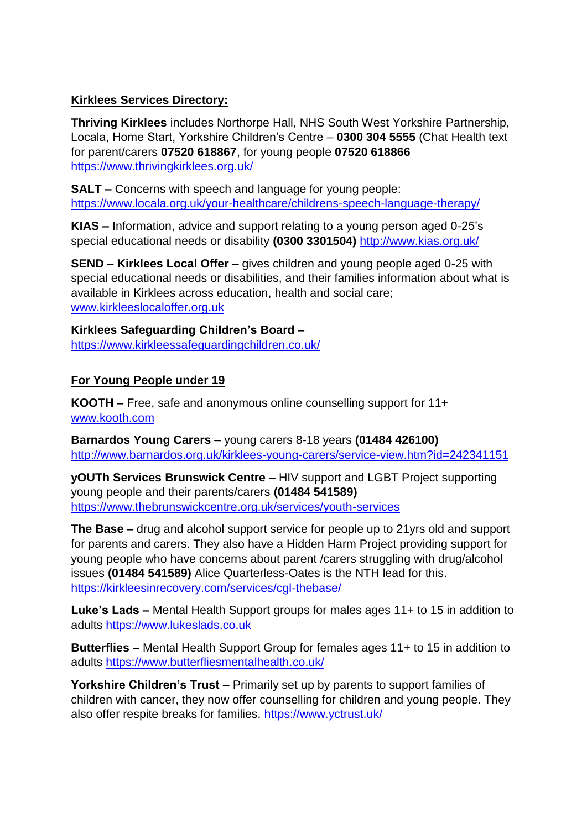## **Kirklees Services Directory:**

**Thriving Kirklees** includes Northorpe Hall, NHS South West Yorkshire Partnership, Locala, Home Start, Yorkshire Children's Centre – **0300 304 5555** (Chat Health text for parent/carers **07520 618867**, for young people **07520 618866** <https://www.thrivingkirklees.org.uk/>

**SALT –** Concerns with speech and language for young people: <https://www.locala.org.uk/your-healthcare/childrens-speech-language-therapy/>

**KIAS –** Information, advice and support relating to a young person aged 0-25's special educational needs or disability **(0300 3301504)** <http://www.kias.org.uk/>

**SEND – Kirklees Local Offer –** gives children and young people aged 0-25 with special educational needs or disabilities, and their families information about what is available in Kirklees across education, health and social care; [www.kirkleeslocaloffer.org.uk](http://www.kirkleeslocaloffer.org.uk/)

**Kirklees Safeguarding Children's Board –** <https://www.kirkleessafeguardingchildren.co.uk/>

## **For Young People under 19**

**KOOTH –** Free, safe and anonymous online counselling support for 11+ [www.kooth.com](http://www.kooth.com/)

**Barnardos Young Carers** – young carers 8-18 years **(01484 426100)** <http://www.barnardos.org.uk/kirklees-young-carers/service-view.htm?id=242341151>

**yOUTh Services Brunswick Centre –** HIV support and LGBT Project supporting young people and their parents/carers **(01484 541589)** <https://www.thebrunswickcentre.org.uk/services/youth-services>

**The Base –** drug and alcohol support service for people up to 21yrs old and support for parents and carers. They also have a Hidden Harm Project providing support for young people who have concerns about parent /carers struggling with drug/alcohol issues **(01484 541589)** Alice Quarterless-Oates is the NTH lead for this. <https://kirkleesinrecovery.com/services/cgl-thebase/>

**Luke's Lads –** Mental Health Support groups for males ages 11+ to 15 in addition to adults [https://www.lukeslads.co.uk](https://www.lukeslads.co.uk/)

**Butterflies –** Mental Health Support Group for females ages 11+ to 15 in addition to adults<https://www.butterfliesmentalhealth.co.uk/>

**Yorkshire Children's Trust –** Primarily set up by parents to support families of children with cancer, they now offer counselling for children and young people. They also offer respite breaks for families.<https://www.yctrust.uk/>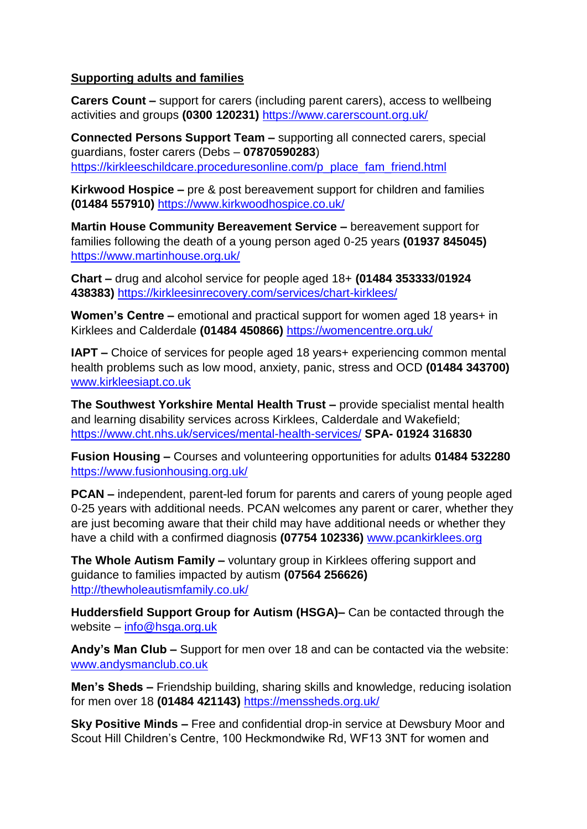## **Supporting adults and families**

**Carers Count –** support for carers (including parent carers), access to wellbeing activities and groups **(0300 120231)** <https://www.carerscount.org.uk/>

**Connected Persons Support Team –** supporting all connected carers, special guardians, foster carers (Debs – **07870590283**) [https://kirkleeschildcare.proceduresonline.com/p\\_place\\_fam\\_friend.html](https://kirkleeschildcare.proceduresonline.com/p_place_fam_friend.html)

**Kirkwood Hospice –** pre & post bereavement support for children and families **(01484 557910)** <https://www.kirkwoodhospice.co.uk/>

**Martin House Community Bereavement Service –** bereavement support for families following the death of a young person aged 0-25 years **(01937 845045)** <https://www.martinhouse.org.uk/>

**Chart –** drug and alcohol service for people aged 18+ **(01484 353333/01924 438383)** <https://kirkleesinrecovery.com/services/chart-kirklees/>

**Women's Centre –** emotional and practical support for women aged 18 years+ in Kirklees and Calderdale **(01484 450866)** <https://womencentre.org.uk/>

**IAPT –** Choice of services for people aged 18 years+ experiencing common mental health problems such as low mood, anxiety, panic, stress and OCD **(01484 343700)** [www.kirkleesiapt.co.uk](http://www.kirkleesiapt.co.uk/)

**The Southwest Yorkshire Mental Health Trust –** provide specialist mental health and learning disability services across Kirklees, Calderdale and Wakefield; <https://www.cht.nhs.uk/services/mental-health-services/> **SPA- 01924 316830**

**Fusion Housing –** Courses and volunteering opportunities for adults **01484 532280** <https://www.fusionhousing.org.uk/>

**PCAN –** independent, parent-led forum for parents and carers of young people aged 0-25 years with additional needs. PCAN welcomes any parent or carer, whether they are just becoming aware that their child may have additional needs or whether they have a child with a confirmed diagnosis **(07754 102336)** [www.pcankirklees.org](http://www.pcankirklees.org/)

**The Whole Autism Family –** voluntary group in Kirklees offering support and guidance to families impacted by autism **(07564 256626)** <http://thewholeautismfamily.co.uk/>

**Huddersfield Support Group for Autism (HSGA)–** Can be contacted through the website – [info@hsga.org.uk](mailto:info@hsga.org.uk)

**Andy's Man Club –** Support for men over 18 and can be contacted via the website: [www.andysmanclub.co.uk](http://www.andysmanclub.co.uk/)

**Men's Sheds –** Friendship building, sharing skills and knowledge, reducing isolation for men over 18 **(01484 421143)** <https://menssheds.org.uk/>

**Sky Positive Minds –** Free and confidential drop-in service at Dewsbury Moor and Scout Hill Children's Centre, 100 Heckmondwike Rd, WF13 3NT for women and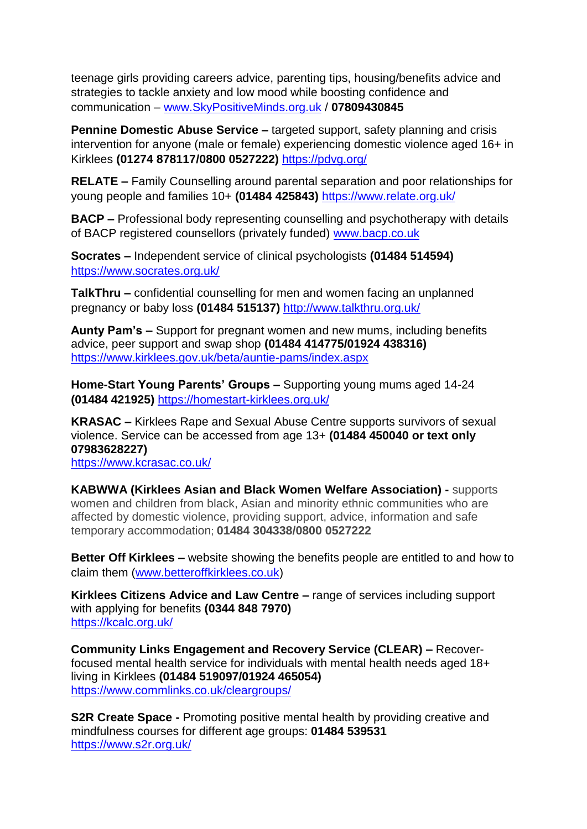teenage girls providing careers advice, parenting tips, housing/benefits advice and strategies to tackle anxiety and low mood while boosting confidence and communication – [www.SkyPositiveMinds.org.uk](http://www.skypositiveminds.org.uk/) / **07809430845**

**Pennine Domestic Abuse Service –** targeted support, safety planning and crisis intervention for anyone (male or female) experiencing domestic violence aged 16+ in Kirklees **(01274 878117/0800 0527222)** <https://pdvg.org/>

**RELATE –** Family Counselling around parental separation and poor relationships for young people and families 10+ **(01484 425843)** <https://www.relate.org.uk/>

**BACP –** Professional body representing counselling and psychotherapy with details of BACP registered counsellors (privately funded) [www.bacp.co.uk](http://www.bacp.co.uk/)

**Socrates –** Independent service of clinical psychologists **(01484 514594)** <https://www.socrates.org.uk/>

**TalkThru –** confidential counselling for men and women facing an unplanned pregnancy or baby loss **(01484 515137)** <http://www.talkthru.org.uk/>

**Aunty Pam's –** Support for pregnant women and new mums, including benefits advice, peer support and swap shop **(01484 414775/01924 438316)** <https://www.kirklees.gov.uk/beta/auntie-pams/index.aspx>

**Home-Start Young Parents' Groups –** Supporting young mums aged 14-24 **(01484 421925)** <https://homestart-kirklees.org.uk/>

**KRASAC –** Kirklees Rape and Sexual Abuse Centre supports survivors of sexual violence. Service can be accessed from age 13+ **(01484 450040 or text only 07983628227)**

<https://www.kcrasac.co.uk/>

**KABWWA (Kirklees Asian and Black Women Welfare Association) -** supports women and children from black, Asian and minority ethnic communities who are affected by domestic violence, providing support, advice, information and safe temporary accommodation; **01484 304338/0800 0527222**

**Better Off Kirklees –** website showing the benefits people are entitled to and how to claim them [\(www.betteroffkirklees.co.uk\)](http://www.betteroffkirklees.co.uk/)

**Kirklees Citizens Advice and Law Centre –** range of services including support with applying for benefits **(0344 848 7970)** <https://kcalc.org.uk/>

**Community Links Engagement and Recovery Service (CLEAR) –** Recoverfocused mental health service for individuals with mental health needs aged 18+ living in Kirklees **(01484 519097/01924 465054)** <https://www.commlinks.co.uk/cleargroups/>

**S2R Create Space -** Promoting positive mental health by providing creative and mindfulness courses for different age groups: **01484 539531** <https://www.s2r.org.uk/>